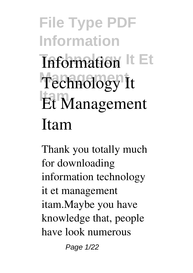#### **File Type PDF Information Information** It Et Technology It **Itam Et Management Itam**

Thank you totally much for downloading **information technology it et management itam**.Maybe you have knowledge that, people have look numerous

Page 1/22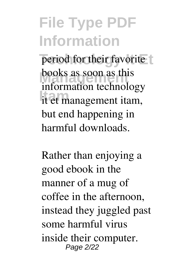period for their favorite books as soon as this **Itam** it et management itam, information technology but end happening in harmful downloads.

Rather than enjoying a good ebook in the manner of a mug of coffee in the afternoon, instead they juggled past some harmful virus inside their computer. Page 2/22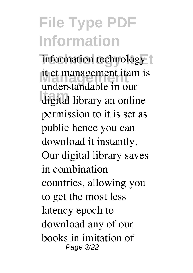information technology  $t$ it et management itam is **Itam** digital library an online understandable in our permission to it is set as public hence you can download it instantly. Our digital library saves in combination countries, allowing you to get the most less latency epoch to download any of our books in imitation of Page 3/22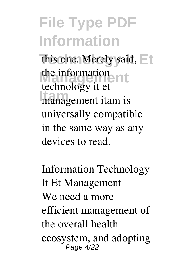this one. Merely said,  $\Box$ the information<br>the index<br>intervals **ITABLE 1995** The community technology it et universally compatible in the same way as any devices to read.

*Information Technology It Et Management* We need a more efficient management of the overall health ecosystem, and adopting Page 4/22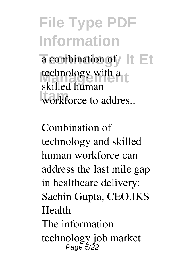a combination of It Et technology with a workforce to addres.. skilled human

*Combination of technology and skilled human workforce can address the last mile gap in healthcare delivery: Sachin Gupta, CEO,IKS Health* The informationtechnology job market Page 5/22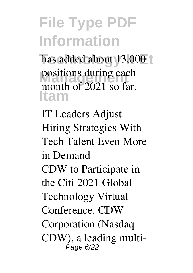has added about 13,000 t positions during each<br>
manth of 2021 as far **Itam** month of 2021 so far.

*IT Leaders Adjust Hiring Strategies With Tech Talent Even More in Demand* CDW to Participate in the Citi 2021 Global Technology Virtual Conference. CDW Corporation (Nasdaq: CDW), a leading multi-Page 6/22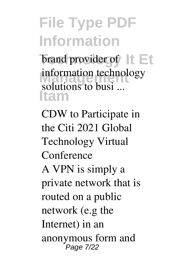brand provider of It Et **Information technol Itam** information technology solutions to busi ...

*CDW to Participate in the Citi 2021 Global Technology Virtual Conference* A VPN is simply a private network that is routed on a public network (e.g the Internet) in an anonymous form and Page 7/22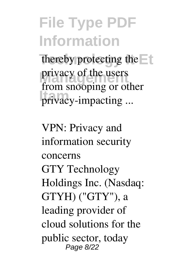thereby protecting the privacy of the users **Itam** privacy-impacting ... from snooping or other

*VPN: Privacy and information security concerns* GTY Technology Holdings Inc. (Nasdaq: GTYH) ("GTY"), a leading provider of cloud solutions for the public sector, today Page 8/22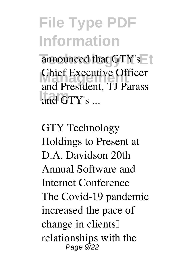announced that GTY's **Chief Executive Officer** and GTY's ... and President, TJ Parass

*GTY Technology Holdings to Present at D.A. Davidson 20th Annual Software and Internet Conference* The Covid-19 pandemic increased the pace of change in clients<sup>[]</sup> relationships with the Page 9/22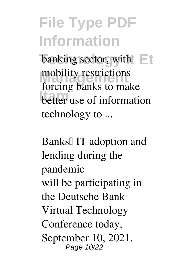**Technology Items** mobility restrictions better use of information forcing banks to make technology to ...

**Banks**<sup>[]</sup> IT adoption and *lending during the pandemic* will be participating in the Deutsche Bank Virtual Technology Conference today, September 10, 2021. Page 10/22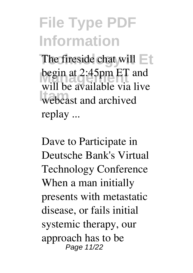The fireside chat will  $\Box$ **begin at 2:45pm ET and Italiansky**<br> **Ital** will be available via live replay ...

*Dave to Participate in Deutsche Bank's Virtual Technology Conference* When a man initially presents with metastatic disease, or fails initial systemic therapy, our approach has to be Page 11/22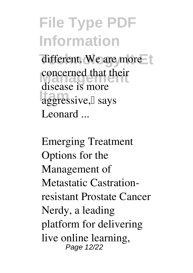different. We are more concerned that their aggressive,<sup>[]</sup> says disease is more Leonard ...

*Emerging Treatment Options for the Management of Metastatic Castrationresistant Prostate Cancer* Nerdy, a leading platform for delivering live online learning, Page 12/22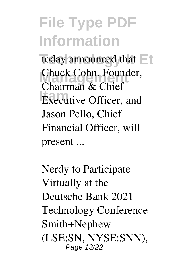today announced that Chuck Cohn, Founder, **Executive Officer, and** Chairman & Chief Jason Pello, Chief Financial Officer, will present ...

*Nerdy to Participate Virtually at the Deutsche Bank 2021 Technology Conference* Smith+Nephew (LSE:SN, NYSE:SNN), Page 13/22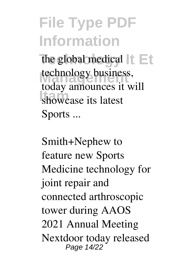the global medical  $||\cdot||_1$ technology business, **Itam** showcase its latest today announces it will Sports ...

*Smith+Nephew to feature new Sports Medicine technology for joint repair and connected arthroscopic tower during AAOS 2021 Annual Meeting* Nextdoor today released Page 14/22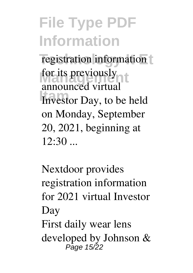registration information for its previously Investor Day, to be held announced virtual on Monday, September 20, 2021, beginning at  $12:30$  ...

*Nextdoor provides registration information for 2021 virtual Investor Day* First daily wear lens developed by Johnson & Page 15/22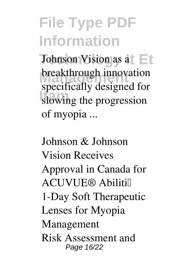**Johnson Vision as at Et breakthrough innovation** slowing the progression specifically designed for of myopia ...

*Johnson & Johnson Vision Receives Approval in Canada for ACUVUE® Abiliti™ 1-Day Soft Therapeutic Lenses for Myopia Management* Risk Assessment and Page 16/22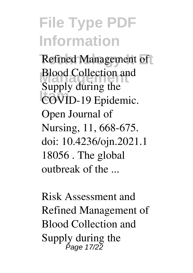**Refined Management of Blood Collection and Itam** COVID-19 Epidemic. Blood Collection and Supply during the Open Journal of Nursing, 11, 668-675. doi: 10.4236/ojn.2021.1 18056 . The global outbreak of the ...

*Risk Assessment and Refined Management of Blood Collection and Supply during the* Page 17/22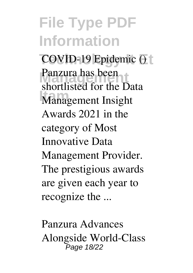**File Type PDF Information COVID-19 Epidemic ()** Panzura has been<br> **Report is the D Management Insight** shortlisted for the Data Awards 2021 in the category of Most Innovative Data Management Provider. The prestigious awards are given each year to recognize the ...

*Panzura Advances Alongside World-Class* Page 18/22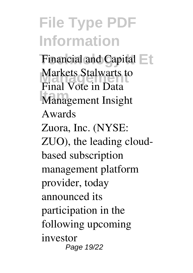Financial and Capital  $\equiv$ t **Markets Stalwarts to Itam** *Management Insight Final Vote in Data Awards* Zuora, Inc. (NYSE: ZUO), the leading cloudbased subscription management platform provider, today announced its participation in the following upcoming investor Page 19/22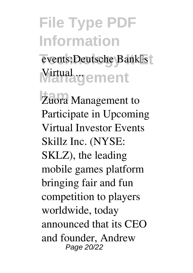events:Deutsche Bank<sup>[]</sup>s **Wirtual gement** 

**Zuora Management to** *Participate in Upcoming Virtual Investor Events* Skillz Inc. (NYSE: SKLZ), the leading mobile games platform bringing fair and fun competition to players worldwide, today announced that its CEO and founder, Andrew Page 20/22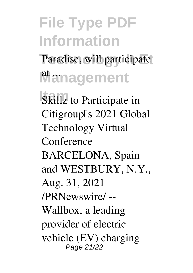## **File Type PDF Information** Paradise, will participate

**Management** 

**Skillz** to Participate in *Citigroup's 2021 Global Technology Virtual Conference* BARCELONA, Spain and WESTBURY, N.Y., Aug. 31, 2021 /PRNewswire/ -- Wallbox, a leading provider of electric vehicle (EV) charging Page 21/22